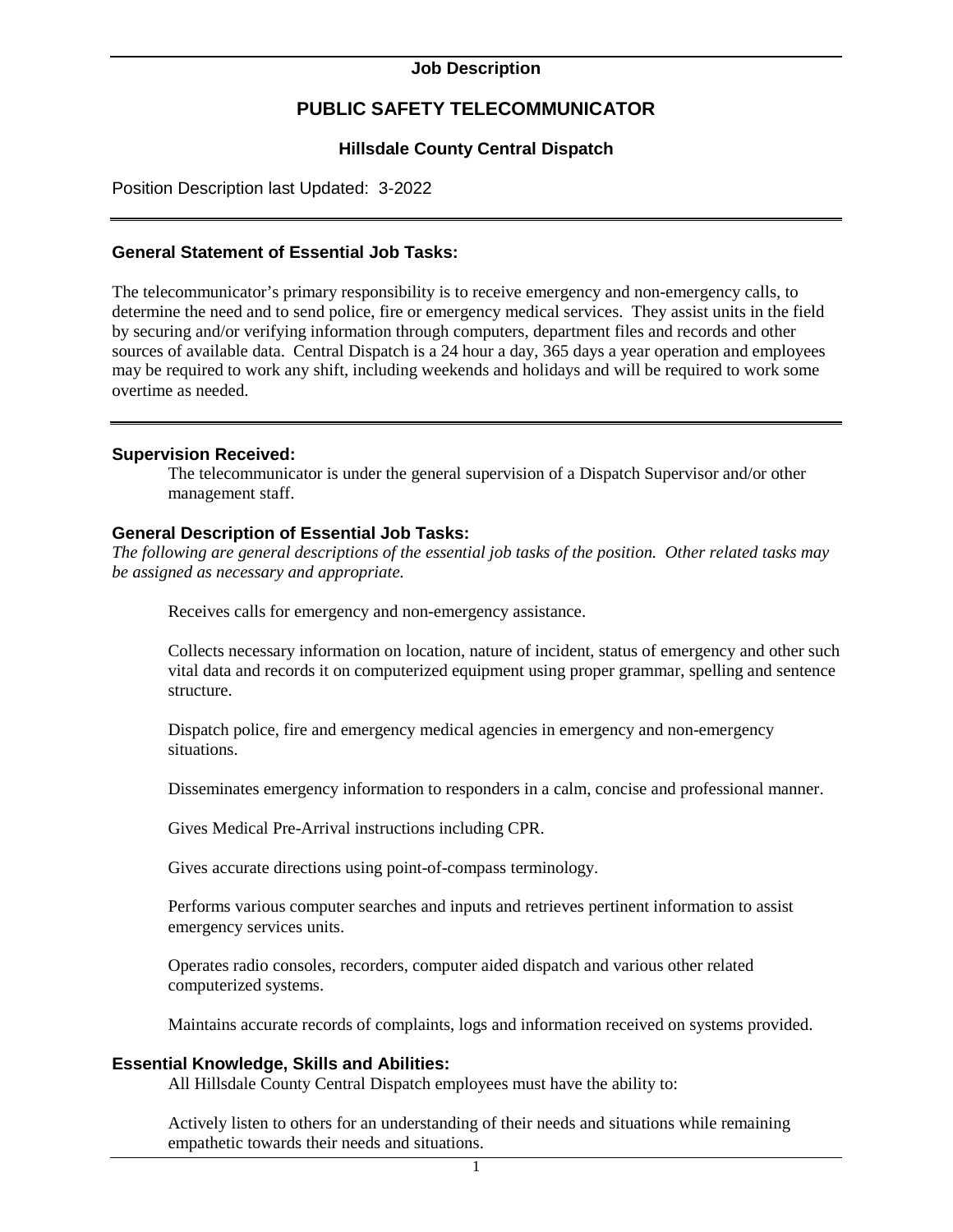#### **Job Description**

# **PUBLIC SAFETY TELECOMMUNICATOR**

## **Hillsdale County Central Dispatch**

Position Description last Updated: 3-2022

### **General Statement of Essential Job Tasks:**

The telecommunicator's primary responsibility is to receive emergency and non-emergency calls, to determine the need and to send police, fire or emergency medical services. They assist units in the field by securing and/or verifying information through computers, department files and records and other sources of available data. Central Dispatch is a 24 hour a day, 365 days a year operation and employees may be required to work any shift, including weekends and holidays and will be required to work some overtime as needed.

#### **Supervision Received:**

The telecommunicator is under the general supervision of a Dispatch Supervisor and/or other management staff.

#### **General Description of Essential Job Tasks:**

*The following are general descriptions of the essential job tasks of the position. Other related tasks may be assigned as necessary and appropriate.* 

Receives calls for emergency and non-emergency assistance.

Collects necessary information on location, nature of incident, status of emergency and other such vital data and records it on computerized equipment using proper grammar, spelling and sentence structure.

Dispatch police, fire and emergency medical agencies in emergency and non-emergency situations.

Disseminates emergency information to responders in a calm, concise and professional manner.

Gives Medical Pre-Arrival instructions including CPR.

Gives accurate directions using point-of-compass terminology.

Performs various computer searches and inputs and retrieves pertinent information to assist emergency services units.

Operates radio consoles, recorders, computer aided dispatch and various other related computerized systems.

Maintains accurate records of complaints, logs and information received on systems provided.

#### **Essential Knowledge, Skills and Abilities:**

All Hillsdale County Central Dispatch employees must have the ability to:

Actively listen to others for an understanding of their needs and situations while remaining empathetic towards their needs and situations.